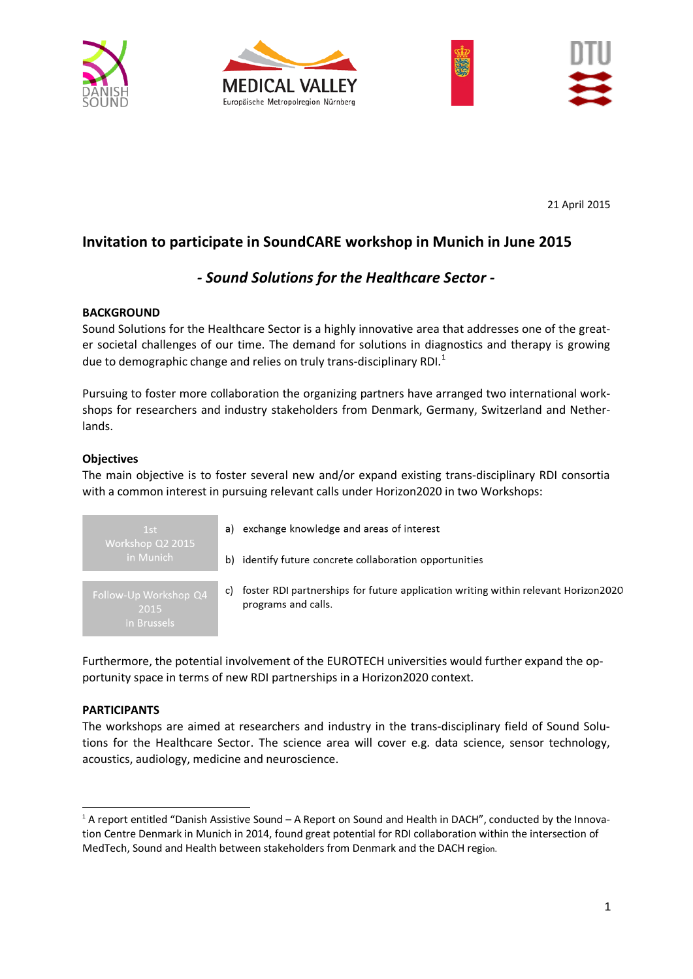







21 April 2015

# **Invitation to participate in SoundCARE workshop in Munich in June 2015**

## *- Sound Solutions for the Healthcare Sector -*

### **BACKGROUND**

Sound Solutions for the Healthcare Sector is a highly innovative area that addresses one of the greater societal challenges of our time. The demand for solutions in diagnostics and therapy is growing due to demographic change and relies on truly trans-disciplinary RDI. $<sup>1</sup>$  $<sup>1</sup>$  $<sup>1</sup>$ </sup>

Pursuing to foster more collaboration the organizing partners have arranged two international workshops for researchers and industry stakeholders from Denmark, Germany, Switzerland and Netherlands.

### **Objectives**

The main objective is to foster several new and/or expand existing trans-disciplinary RDI consortia with a common interest in pursuing relevant calls under Horizon2020 in two Workshops:

 $1st$ 2015

- a) exchange knowledge and areas of interest
- b) identify future concrete collaboration opportunities
- c) foster RDI partnerships for future application writing within relevant Horizon2020 programs and calls.

Furthermore, the potential involvement of the EUROTECH universities would further expand the opportunity space in terms of new RDI partnerships in a Horizon2020 context.

#### **PARTICIPANTS**

-

The workshops are aimed at researchers and industry in the trans-disciplinary field of Sound Solutions for the Healthcare Sector. The science area will cover e.g. data science, sensor technology, acoustics, audiology, medicine and neuroscience.

<span id="page-0-0"></span><sup>&</sup>lt;sup>1</sup> A report entitled "Danish Assistive Sound – A Report on Sound and Health in DACH", conducted by the Innovation Centre Denmark in Munich in 2014, found great potential for RDI collaboration within the intersection of MedTech, Sound and Health between stakeholders from Denmark and the DACH region.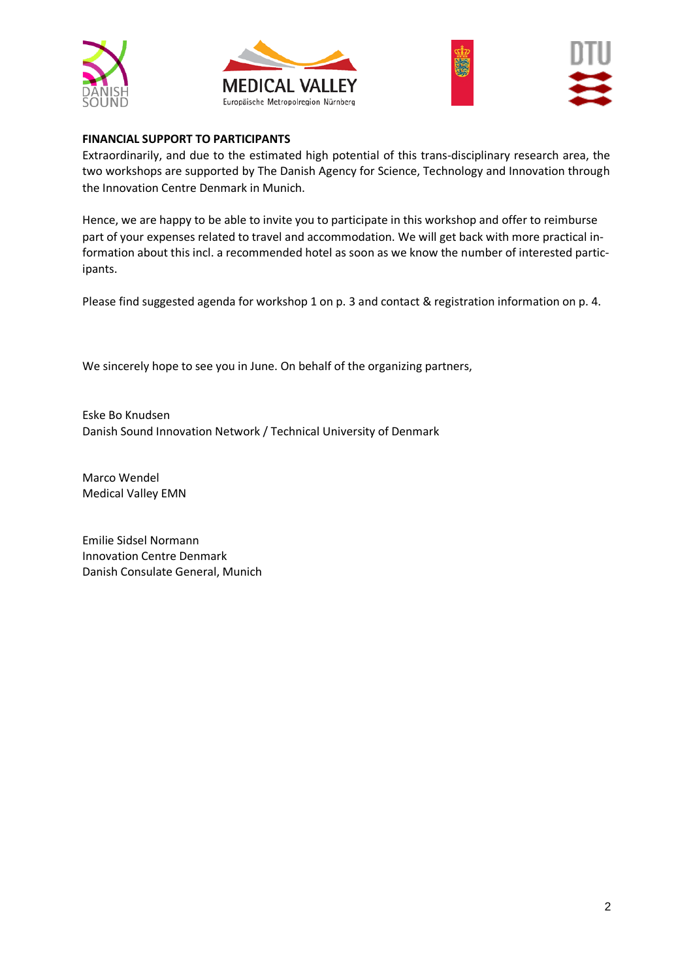







### **FINANCIAL SUPPORT TO PARTICIPANTS**

Extraordinarily, and due to the estimated high potential of this trans-disciplinary research area, the two workshops are supported by The Danish Agency for Science, Technology and Innovation through the Innovation Centre Denmark in Munich.

Hence, we are happy to be able to invite you to participate in this workshop and offer to reimburse part of your expenses related to travel and accommodation. We will get back with more practical information about this incl. a recommended hotel as soon as we know the number of interested participants.

Please find suggested agenda for workshop 1 on p. 3 and contact & registration information on p. 4.

We sincerely hope to see you in June. On behalf of the organizing partners,

Eske Bo Knudsen Danish Sound Innovation Network / Technical University of Denmark

Marco Wendel Medical Valley EMN

Emilie Sidsel Normann Innovation Centre Denmark Danish Consulate General, Munich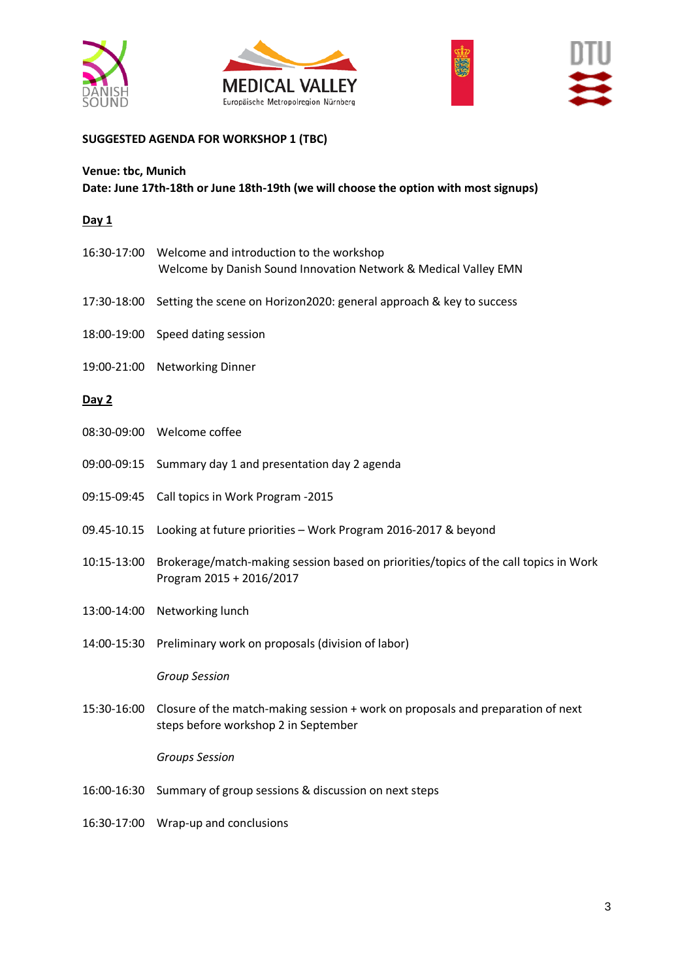







## **SUGGESTED AGENDA FOR WORKSHOP 1 (TBC)**

### **Venue: tbc, Munich Date: June 17th-18th or June 18th-19th (we will choose the option with most signups)**

### **Day 1**

|             | 16:30-17:00 Welcome and introduction to the workshop<br>Welcome by Danish Sound Innovation Network & Medical Valley EMN |
|-------------|-------------------------------------------------------------------------------------------------------------------------|
| 17:30-18:00 | Setting the scene on Horizon2020: general approach & key to success                                                     |
| 18:00-19:00 | Speed dating session                                                                                                    |
| 19:00-21:00 | <b>Networking Dinner</b>                                                                                                |
| Day 2       |                                                                                                                         |
|             | 08:30-09:00 Welcome coffee                                                                                              |
| 09:00-09:15 | Summary day 1 and presentation day 2 agenda                                                                             |
| 09:15-09:45 | Call topics in Work Program -2015                                                                                       |
| 09.45-10.15 | Looking at future priorities - Work Program 2016-2017 & beyond                                                          |
| 10:15-13:00 | Brokerage/match-making session based on priorities/topics of the call topics in Work<br>Program 2015 + 2016/2017        |
| 13:00-14:00 | Networking lunch                                                                                                        |
| 14:00-15:30 | Preliminary work on proposals (division of labor)                                                                       |
|             | <b>Group Session</b>                                                                                                    |
| 15:30-16:00 | Closure of the match-making session + work on proposals and preparation of next<br>steps before workshop 2 in September |
|             | <b>Groups Session</b>                                                                                                   |
| 16:00-16:30 | Summary of group sessions & discussion on next steps                                                                    |
| 16:30-17:00 | Wrap-up and conclusions                                                                                                 |